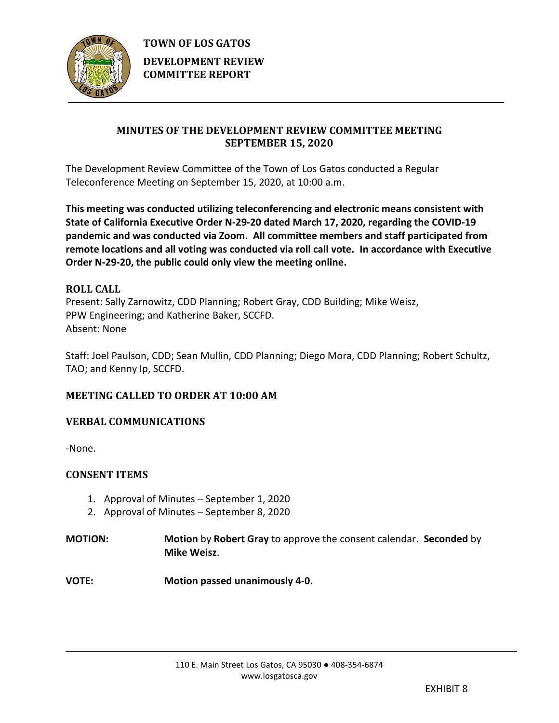

# **MINUTES OF THE DEVELOPMENT REVIEW COMMITTEE MEETING SEPTEMBER 15, 2020**

The Development Review Committee of the Town of Los Gatos conducted a Regular Teleconference Meeting on September 15, 2020, at 10:00 a.m.

**This meeting was conducted utilizing teleconferencing and electronic means consistent with State of California Executive Order N-29-20 dated March 17, 2020, regarding the COVID-19 pandemic and was conducted via Zoom. All committee members and staff participated from remote locations and all voting was conducted via roll call vote. In accordance with Executive Order N-29-20, the public could only view the meeting online.**

# **ROLL CALL** Present: Sally Zarnowitz, CDD Planning; Robert Gray, CDD Building; Mike Weisz, PPW Engineering; and Katherine Baker, SCCFD. Absent: None

Staff: Joel Paulson, CDD; Sean Mullin, CDD Planning; Diego Mora, CDD Planning; Robert Schultz, TAO; and Kenny Ip, SCCFD.

# **MEETING CALLED TO ORDER AT 10:00 AM**

# **VERBAL COMMUNICATIONS**

-None.

# **CONSENT ITEMS**

- 1. Approval of Minutes September 1, 2020
- 2. Approval of Minutes September 8, 2020
- **MOTION: Motion** by **Robert Gray** to approve the consent calendar. **Seconded** by **Mike Weisz**.

**VOTE: Motion passed unanimously 4-0.**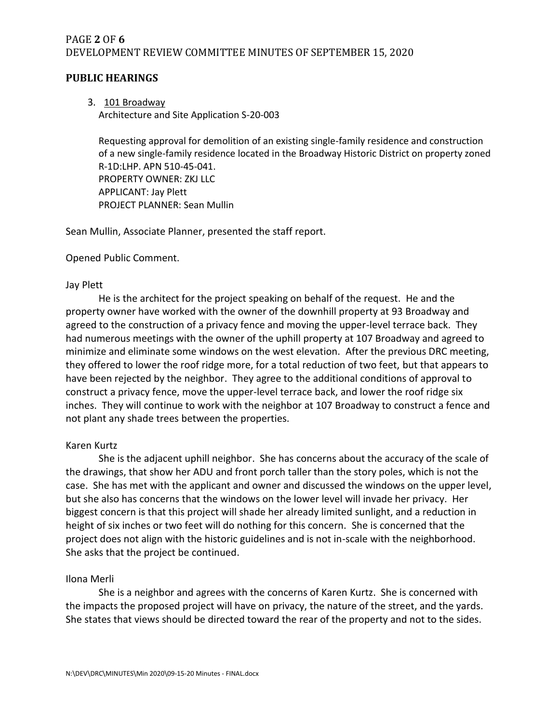## PAGE **2** OF **6** DEVELOPMENT REVIEW COMMITTEE MINUTES OF SEPTEMBER 15, 2020

## **PUBLIC HEARINGS**

3. 101 Broadway

Architecture and Site Application S-20-003

Requesting approval for demolition of an existing single-family residence and construction of a new single-family residence located in the Broadway Historic District on property zoned R-1D:LHP. APN 510-45-041. PROPERTY OWNER: ZKJ LLC APPLICANT: Jay Plett PROJECT PLANNER: Sean Mullin

Sean Mullin, Associate Planner, presented the staff report.

Opened Public Comment.

## Jay Plett

He is the architect for the project speaking on behalf of the request. He and the property owner have worked with the owner of the downhill property at 93 Broadway and agreed to the construction of a privacy fence and moving the upper-level terrace back. They had numerous meetings with the owner of the uphill property at 107 Broadway and agreed to minimize and eliminate some windows on the west elevation. After the previous DRC meeting, they offered to lower the roof ridge more, for a total reduction of two feet, but that appears to have been rejected by the neighbor. They agree to the additional conditions of approval to construct a privacy fence, move the upper-level terrace back, and lower the roof ridge six inches. They will continue to work with the neighbor at 107 Broadway to construct a fence and not plant any shade trees between the properties.

## Karen Kurtz

She is the adjacent uphill neighbor. She has concerns about the accuracy of the scale of the drawings, that show her ADU and front porch taller than the story poles, which is not the case. She has met with the applicant and owner and discussed the windows on the upper level, but she also has concerns that the windows on the lower level will invade her privacy. Her biggest concern is that this project will shade her already limited sunlight, and a reduction in height of six inches or two feet will do nothing for this concern. She is concerned that the project does not align with the historic guidelines and is not in-scale with the neighborhood. She asks that the project be continued.

## Ilona Merli

She is a neighbor and agrees with the concerns of Karen Kurtz. She is concerned with the impacts the proposed project will have on privacy, the nature of the street, and the yards. She states that views should be directed toward the rear of the property and not to the sides.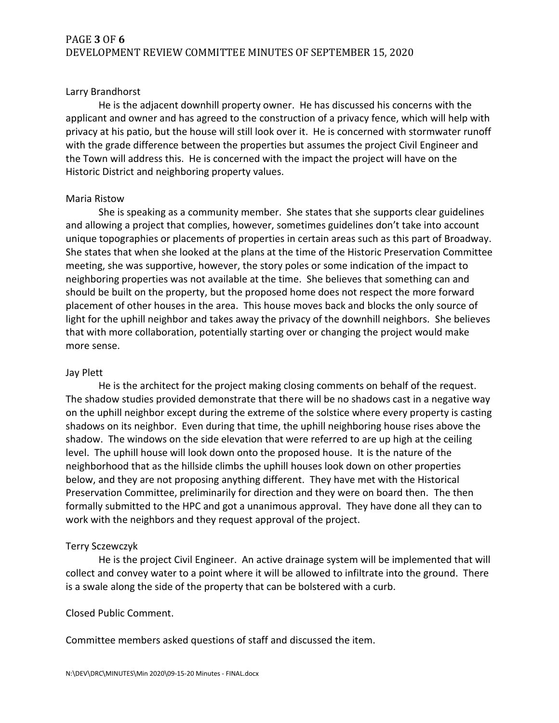### Larry Brandhorst

He is the adjacent downhill property owner. He has discussed his concerns with the applicant and owner and has agreed to the construction of a privacy fence, which will help with privacy at his patio, but the house will still look over it. He is concerned with stormwater runoff with the grade difference between the properties but assumes the project Civil Engineer and the Town will address this. He is concerned with the impact the project will have on the Historic District and neighboring property values.

### Maria Ristow

She is speaking as a community member. She states that she supports clear guidelines and allowing a project that complies, however, sometimes guidelines don't take into account unique topographies or placements of properties in certain areas such as this part of Broadway. She states that when she looked at the plans at the time of the Historic Preservation Committee meeting, she was supportive, however, the story poles or some indication of the impact to neighboring properties was not available at the time. She believes that something can and should be built on the property, but the proposed home does not respect the more forward placement of other houses in the area. This house moves back and blocks the only source of light for the uphill neighbor and takes away the privacy of the downhill neighbors. She believes that with more collaboration, potentially starting over or changing the project would make more sense.

#### Jay Plett

He is the architect for the project making closing comments on behalf of the request. The shadow studies provided demonstrate that there will be no shadows cast in a negative way on the uphill neighbor except during the extreme of the solstice where every property is casting shadows on its neighbor. Even during that time, the uphill neighboring house rises above the shadow. The windows on the side elevation that were referred to are up high at the ceiling level. The uphill house will look down onto the proposed house. It is the nature of the neighborhood that as the hillside climbs the uphill houses look down on other properties below, and they are not proposing anything different. They have met with the Historical Preservation Committee, preliminarily for direction and they were on board then. The then formally submitted to the HPC and got a unanimous approval. They have done all they can to work with the neighbors and they request approval of the project.

## Terry Sczewczyk

He is the project Civil Engineer. An active drainage system will be implemented that will collect and convey water to a point where it will be allowed to infiltrate into the ground. There is a swale along the side of the property that can be bolstered with a curb.

## Closed Public Comment.

Committee members asked questions of staff and discussed the item.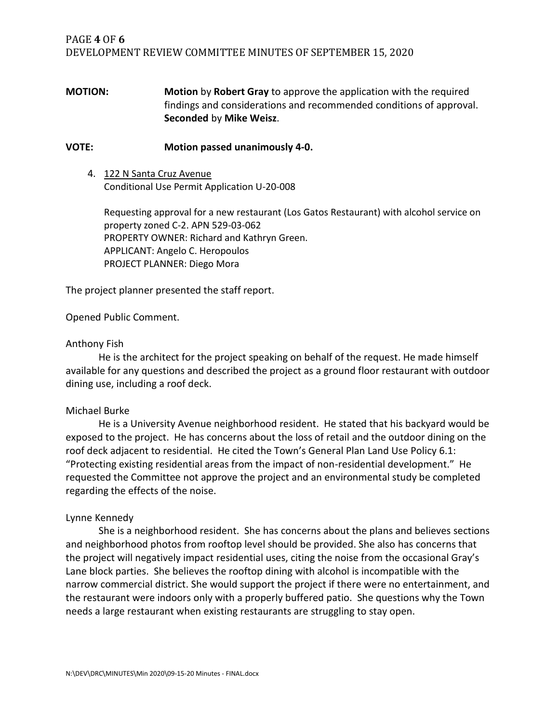## PAGE **4** OF **6** DEVELOPMENT REVIEW COMMITTEE MINUTES OF SEPTEMBER 15, 2020

**MOTION: Motion** by **Robert Gray** to approve the application with the required findings and considerations and recommended conditions of approval. **Seconded** by **Mike Weisz**.

#### **VOTE: Motion passed unanimously 4-0.**

4. 122 N Santa Cruz Avenue Conditional Use Permit Application U-20-008

Requesting approval for a new restaurant (Los Gatos Restaurant) with alcohol service on property zoned C-2. APN 529-03-062 PROPERTY OWNER: Richard and Kathryn Green. APPLICANT: Angelo C. Heropoulos PROJECT PLANNER: Diego Mora

The project planner presented the staff report.

Opened Public Comment.

#### Anthony Fish

He is the architect for the project speaking on behalf of the request. He made himself available for any questions and described the project as a ground floor restaurant with outdoor dining use, including a roof deck.

#### Michael Burke

He is a University Avenue neighborhood resident. He stated that his backyard would be exposed to the project. He has concerns about the loss of retail and the outdoor dining on the roof deck adjacent to residential. He cited the Town's General Plan Land Use Policy 6.1: "Protecting existing residential areas from the impact of non-residential development." He requested the Committee not approve the project and an environmental study be completed regarding the effects of the noise.

#### Lynne Kennedy

She is a neighborhood resident. She has concerns about the plans and believes sections and neighborhood photos from rooftop level should be provided. She also has concerns that the project will negatively impact residential uses, citing the noise from the occasional Gray's Lane block parties. She believes the rooftop dining with alcohol is incompatible with the narrow commercial district. She would support the project if there were no entertainment, and the restaurant were indoors only with a properly buffered patio. She questions why the Town needs a large restaurant when existing restaurants are struggling to stay open.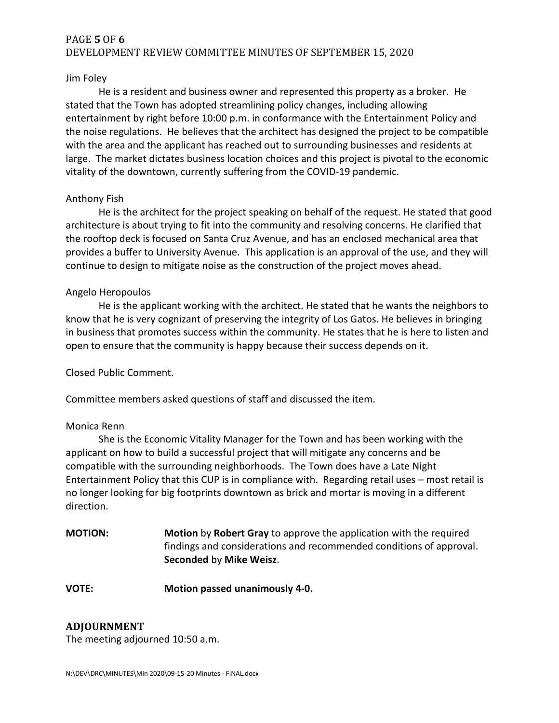## PAGE **5** OF **6** DEVELOPMENT REVIEW COMMITTEE MINUTES OF SEPTEMBER 15, 2020

#### Jim Foley

He is a resident and business owner and represented this property as a broker. He stated that the Town has adopted streamlining policy changes, including allowing entertainment by right before 10:00 p.m. in conformance with the Entertainment Policy and the noise regulations. He believes that the architect has designed the project to be compatible with the area and the applicant has reached out to surrounding businesses and residents at large. The market dictates business location choices and this project is pivotal to the economic vitality of the downtown, currently suffering from the COVID-19 pandemic.

### Anthony Fish

He is the architect for the project speaking on behalf of the request. He stated that good architecture is about trying to fit into the community and resolving concerns. He clarified that the rooftop deck is focused on Santa Cruz Avenue, and has an enclosed mechanical area that provides a buffer to University Avenue. This application is an approval of the use, and they will continue to design to mitigate noise as the construction of the project moves ahead.

### Angelo Heropoulos

He is the applicant working with the architect. He stated that he wants the neighbors to know that he is very cognizant of preserving the integrity of Los Gatos. He believes in bringing in business that promotes success within the community. He states that he is here to listen and open to ensure that the community is happy because their success depends on it.

Closed Public Comment.

Committee members asked questions of staff and discussed the item.

#### Monica Renn

She is the Economic Vitality Manager for the Town and has been working with the applicant on how to build a successful project that will mitigate any concerns and be compatible with the surrounding neighborhoods. The Town does have a Late Night Entertainment Policy that this CUP is in compliance with. Regarding retail uses – most retail is no longer looking for big footprints downtown as brick and mortar is moving in a different direction.

- **MOTION: Motion** by **Robert Gray** to approve the application with the required findings and considerations and recommended conditions of approval. **Seconded** by **Mike Weisz**.
- **VOTE: Motion passed unanimously 4-0.**

## **ADJOURNMENT**

The meeting adjourned 10:50 a.m.